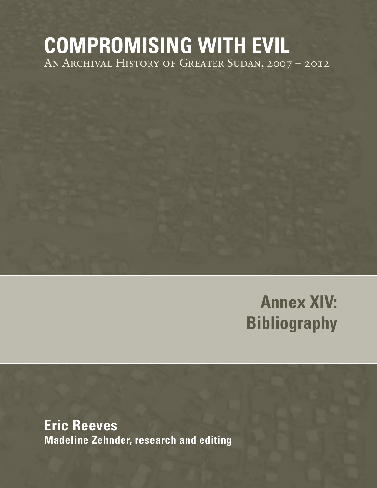## **COMPROMISING WITH EVIL** An Archival History of Greater Sudan, 2007 – 2012

# **Annex XIV: Bibliography**

**Eric Reeves Madeline Zehnder, research and editing**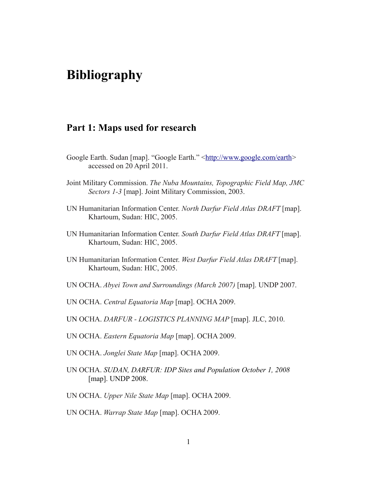## **Bibliography**

## **Part 1: Maps used for research**

- Google Earth. Sudan [map]. "Google Earth." [<http://www.google.com/earth>](http://www.google.com/earth) accessed on 20 April 2011.
- Joint Military Commission. *The Nuba Mountains, Topographic Field Map, JMC Sectors 1-3* [map]. Joint Military Commission, 2003.
- UN Humanitarian Information Center. *North Darfur Field Atlas DRAFT* [map]. Khartoum, Sudan: HIC, 2005.
- UN Humanitarian Information Center. *South Darfur Field Atlas DRAFT* [map]. Khartoum, Sudan: HIC, 2005.
- UN Humanitarian Information Center. *West Darfur Field Atlas DRAFT* [map]. Khartoum, Sudan: HIC, 2005.
- UN OCHA. *Abyei Town and Surroundings (March 2007)* [map]. UNDP 2007.
- UN OCHA. *Central Equatoria Map* [map]. OCHA 2009.
- UN OCHA. *DARFUR LOGISTICS PLANNING MAP* [map]. JLC, 2010.
- UN OCHA. *Eastern Equatoria Map* [map]. OCHA 2009.
- UN OCHA. *Jonglei State Map* [map]. OCHA 2009.
- UN OCHA. *SUDAN, DARFUR: IDP Sites and Population October 1, 2008*  [map]. UNDP 2008.
- UN OCHA. *Upper Nile State Map* [map]. OCHA 2009.
- UN OCHA. *Warrap State Map* [map]. OCHA 2009.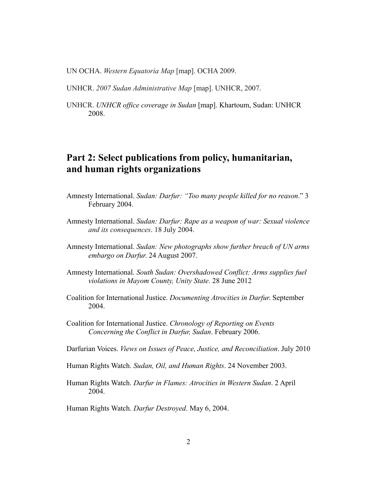UN OCHA. *Western Equatoria Map* [map]. OCHA 2009.

UNHCR. *2007 Sudan Administrative Map* [map]. UNHCR, 2007.

UNHCR. *UNHCR office coverage in Sudan* [map]. Khartoum, Sudan: UNHCR 2008.

## **Part 2: Select publications from policy, humanitarian, and human rights organizations**

- Amnesty International. *Sudan: Darfur: "Too many people killed for no reason*." 3 February 2004.
- Amnesty International. *Sudan: Darfur: Rape as a weapon of war: Sexual violence and its consequences*. 18 July 2004.
- Amnesty International. *Sudan: New photographs show further breach of UN arms embargo on Darfur*. 24 August 2007.
- Amnesty International. *South Sudan: Overshadowed Conflict: Arms supplies fuel violations in Mayom County, Unity State*. 28 June 2012
- Coalition for International Justice. *Documenting Atrocities in Darfur*. September 2004.
- Coalition for International Justice. *Chronology of Reporting on Events Concerning the Conflict in Darfur, Sudan*. February 2006.

Darfurian Voices. *Views on Issues of Peace, Justice, and Reconciliation*. July 2010

- Human Rights Watch. *Sudan, Oil, and Human Rights*. 24 November 2003.
- Human Rights Watch. *Darfur in Flames: Atrocities in Western Sudan*. 2 April 2004.

Human Rights Watch. *Darfur Destroyed*. May 6, 2004.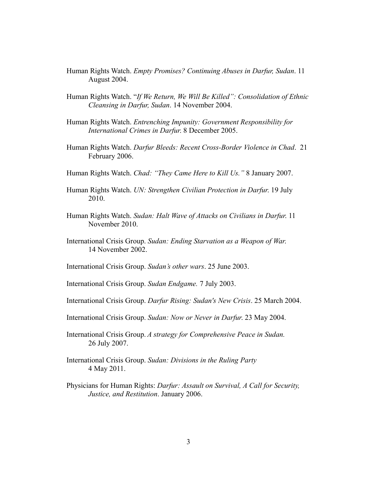- Human Rights Watch. *Empty Promises? Continuing Abuses in Darfur, Sudan*. 11 August 2004.
- Human Rights Watch. "*If We Return, We Will Be Killed": Consolidation of Ethnic Cleansing in Darfur, Sudan*. 14 November 2004.
- Human Rights Watch. *Entrenching Impunity: Government Responsibility for International Crimes in Darfur*. 8 December 2005.
- Human Rights Watch. *Darfur Bleeds: Recent Cross-Border Violence in Chad*. 21 February 2006.
- Human Rights Watch. *Chad: "They Came Here to Kill Us."* 8 January 2007.
- Human Rights Watch. *UN: Strengthen Civilian Protection in Darfur*. 19 July 2010.
- Human Rights Watch. *Sudan: Halt Wave of Attacks on Civilians in Darfur*. 11 November 2010.
- International Crisis Group. *Sudan: Ending Starvation as a Weapon of War*. 14 November 2002.
- International Crisis Group. *Sudan's other wars*. 25 June 2003.
- International Crisis Group. *Sudan Endgame.* 7 July 2003.
- International Crisis Group. *Darfur Rising: Sudan's New Crisis*. 25 March 2004.
- International Crisis Group. *Sudan: Now or Never in Darfur*. 23 May 2004.
- International Crisis Group. *A strategy for Comprehensive Peace in Sudan.* 26 July 2007.
- International Crisis Group. *Sudan: Divisions in the Ruling Party* 4 May 2011.
- Physicians for Human Rights: *Darfur: Assault on Survival, A Call for Security, Justice, and Restitution*. January 2006.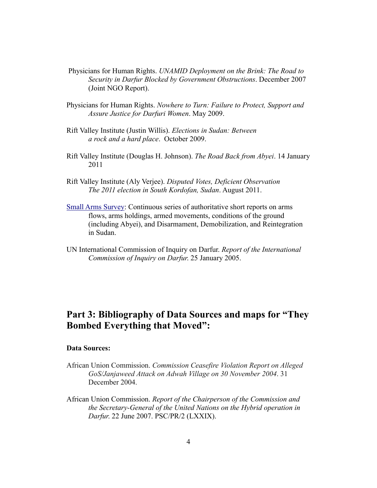- Physicians for Human Rights. *UNAMID Deployment on the Brink: The Road to Security in Darfur Blocked by Government Obstructions*. December 2007 (Joint NGO Report).
- Physicians for Human Rights. *Nowhere to Turn: Failure to Protect, Support and Assure Justice for Darfuri Women*. May 2009.
- Rift Valley Institute (Justin Willis). *Elections in Sudan: Between a rock and a hard place*. October 2009.
- Rift Valley Institute (Douglas H. Johnson). *The Road Back from Abyei*. 14 January 2011
- Rift Valley Institute (Aly Verjee). *Disputed Votes, Deficient Observation The 2011 election in South Kordofan, Sudan*. August 2011.
- [Small Arms Survey:](http://www.smallarmssurveysudan.org/facts-figures.php) Continuous series of authoritative short reports on arms flows, arms holdings, armed movements, conditions of the ground (including Abyei), and Disarmament, Demobilization, and Reintegration in Sudan.
- UN International Commission of Inquiry on Darfur. *Report of the International Commission of Inquiry on Darfur*. 25 January 2005.

## **Part 3: Bibliography of Data Sources and maps for "They Bombed Everything that Moved":**

#### **Data Sources:**

- African Union Commission. *Commission Ceasefire Violation Report on Alleged GoS/Janjaweed Attack on Adwah Village on 30 November 2004*. 31 December 2004.
- African Union Commission. *Report of the Chairperson of the Commission and the Secretary-General of the United Nations on the Hybrid operation in Darfur*. 22 June 2007. PSC/PR/2 (LXXIX).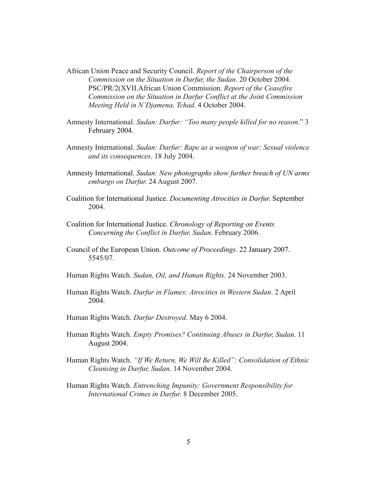- African Union Peace and Security Council. *Report of the Chairperson of the Commission on the Situation in Darfur, the Sudan*. 20 October 2004. PSC/PR/2(XVII.African Union Commission. *Report of the Ceasefire Commission on the Situation in Darfur Conflict at the Joint Commission Meeting Held in N'Djamena, Tchad*. 4 October 2004.
- Amnesty International. *Sudan: Darfur: "Too many people killed for no reason*." 3 February 2004.
- Amnesty International. *Sudan: Darfur: Rape as a weapon of war: Sexual violence and its consequences*. 18 July 2004.
- Amnesty International. *Sudan: New photographs show further breach of UN arms embargo on Darfur*. 24 August 2007.
- Coalition for International Justice. *Documenting Atrocities in Darfur*. September 2004.
- Coalition for International Justice. *Chronology of Reporting on Events Concerning the Conflict in Darfur, Sudan*. February 2006.
- Council of the European Union. *Outcome of Proceedings*. 22 January 2007. 5545/07.
- Human Rights Watch. *Sudan, Oil, and Human Rights*. 24 November 2003.
- Human Rights Watch. *Darfur in Flames: Atrocities in Western Sudan*. 2 April 2004.
- Human Rights Watch. *Darfur Destroyed*. May 6 2004.
- Human Rights Watch. *Empty Promises? Continuing Abuses in Darfur, Sudan*. 11 August 2004.
- Human Rights Watch. *"If We Return, We Will Be Killed": Consolidation of Ethnic Cleansing in Darfur, Sudan*. 14 November 2004.
- Human Rights Watch. *Entrenching Impunity: Government Responsibility for International Crimes in Darfur*. 8 December 2005.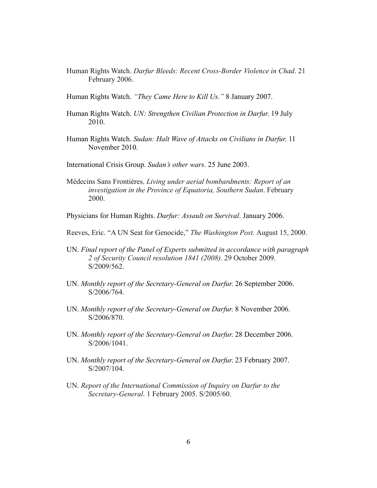Human Rights Watch. *Darfur Bleeds: Recent Cross-Border Violence in Chad*. 21 February 2006.

Human Rights Watch. *"They Came Here to Kill Us."* 8 January 2007.

- Human Rights Watch. *UN: Strengthen Civilian Protection in Darfur*. 19 July 2010.
- Human Rights Watch. *Sudan: Halt Wave of Attacks on Civilians in Darfur*. 11 November 2010.
- International Crisis Group. *Sudan's other wars*. 25 June 2003.
- Médecins Sans Frontières. *Living under aerial bombardments: Report of an investigation in the Province of Equatoria, Southern Sudan*. February 2000.

Physicians for Human Rights. *Darfur: Assault on Survival*. January 2006.

Reeves, Eric. "A UN Seat for Genocide," *The Washington Post.* August 15, 2000.

- UN. *Final report of the Panel of Experts submitted in accordance with paragraph 2 of Security Council resolution 1841 (2008)*. 29 October 2009. S/2009/562.
- UN. *Monthly report of the Secretary-General on Darfur*. 26 September 2006. S/2006/764.
- UN. *Monthly report of the Secretary-General on Darfur*. 8 November 2006. S/2006/870.
- UN. *Monthly report of the Secretary-General on Darfur*. 28 December 2006. S/2006/1041.
- UN. *Monthly report of the Secretary-General on Darfur*. 23 February 2007. S/2007/104.
- UN. *Report of the International Commission of Inquiry on Darfur to the Secretary-General*. 1 February 2005. S/2005/60.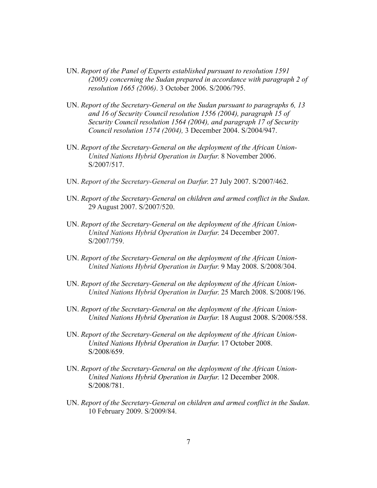- UN. *Report of the Panel of Experts established pursuant to resolution 1591 (2005) concerning the Sudan prepared in accordance with paragraph 2 of resolution 1665 (2006)*. 3 October 2006. S/2006/795.
- UN. *Report of the Secretary-General on the Sudan pursuant to paragraphs 6, 13 and 16 of Security Council resolution 1556 (2004), paragraph 15 of Security Council resolution 1564 (2004), and paragraph 17 of Security Council resolution 1574 (2004),* 3 December 2004. S/2004/947.
- UN. *Report of the Secretary-General on the deployment of the African Union-United Nations Hybrid Operation in Darfur*. 8 November 2006. S/2007/517.
- UN. *Report of the Secretary-General on Darfur*. 27 July 2007. S/2007/462.
- UN. *Report of the Secretary-General on children and armed conflict in the Sudan*. 29 August 2007. S/2007/520.
- UN. *Report of the Secretary-General on the deployment of the African Union-United Nations Hybrid Operation in Darfur*. 24 December 2007. S/2007/759.
- UN. *Report of the Secretary-General on the deployment of the African Union-United Nations Hybrid Operation in Darfur*. 9 May 2008. S/2008/304.
- UN. *Report of the Secretary-General on the deployment of the African Union-United Nations Hybrid Operation in Darfur*. 25 March 2008. S/2008/196.
- UN. *Report of the Secretary-General on the deployment of the African Union-United Nations Hybrid Operation in Darfur*. 18 August 2008. S/2008/558.
- UN. *Report of the Secretary-General on the deployment of the African Union-United Nations Hybrid Operation in Darfur*. 17 October 2008. S/2008/659.
- UN. *Report of the Secretary-General on the deployment of the African Union-United Nations Hybrid Operation in Darfur*. 12 December 2008. S/2008/781.
- UN. *Report of the Secretary-General on children and armed conflict in the Sudan*. 10 February 2009. S/2009/84.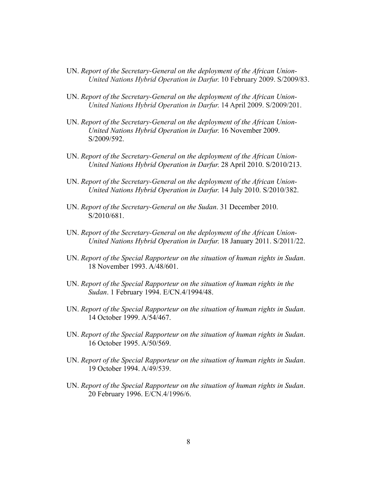- UN. *Report of the Secretary-General on the deployment of the African Union-United Nations Hybrid Operation in Darfur*. 10 February 2009. S/2009/83.
- UN. *Report of the Secretary-General on the deployment of the African Union-United Nations Hybrid Operation in Darfur*. 14 April 2009. S/2009/201.
- UN. *Report of the Secretary-General on the deployment of the African Union-United Nations Hybrid Operation in Darfur*. 16 November 2009. S/2009/592.
- UN. *Report of the Secretary-General on the deployment of the African Union-United Nations Hybrid Operation in Darfur*. 28 April 2010. S/2010/213.
- UN. *Report of the Secretary-General on the deployment of the African Union-United Nations Hybrid Operation in Darfur*. 14 July 2010. S/2010/382.
- UN. *Report of the Secretary-General on the Sudan*. 31 December 2010. S/2010/681.
- UN. *Report of the Secretary-General on the deployment of the African Union-United Nations Hybrid Operation in Darfur*. 18 January 2011. S/2011/22.
- UN. *Report of the Special Rapporteur on the situation of human rights in Sudan*. 18 November 1993. A/48/601.
- UN. *Report of the Special Rapporteur on the situation of human rights in the Sudan*. 1 February 1994. E/CN.4/1994/48.
- UN. *Report of the Special Rapporteur on the situation of human rights in Sudan*. 14 October 1999. A/54/467.
- UN. *Report of the Special Rapporteur on the situation of human rights in Sudan*. 16 October 1995. A/50/569.
- UN. *Report of the Special Rapporteur on the situation of human rights in Sudan*. 19 October 1994. A/49/539.
- UN. *Report of the Special Rapporteur on the situation of human rights in Sudan*. 20 February 1996. E/CN.4/1996/6.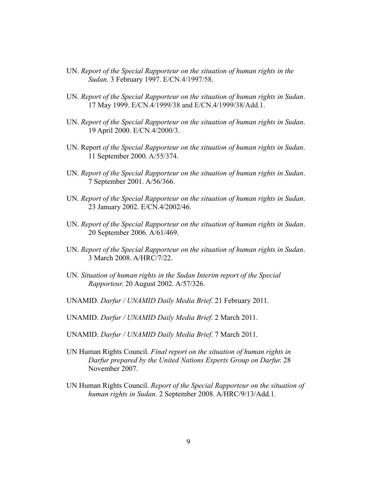- UN. *Report of the Special Rapporteur on the situation of human rights in the Sudan*. 3 February 1997. E/CN.4/1997/58.
- UN. *Report of the Special Rapporteur on the situation of human rights in Sudan*. 17 May 1999. E/CN.4/1999/38 and E/CN.4/1999/38/Add.1.
- UN. *Report of the Special Rapporteur on the situation of human rights in Sudan*. 19 April 2000. E/CN.4/2000/3.
- UN. Report *of the Special Rapporteur on the situation of human rights in Sudan*. 11 September 2000. A/55/374.
- UN. *Report of the Special Rapporteur on the situation of human rights in Sudan*. 7 September 2001. A/56/366.
- UN. *Report of the Special Rapporteur on the situation of human rights in Sudan*. 23 January 2002. E/CN.4/2002/46.
- UN. *Report of the Special Rapporteur on the situation of human rights in Sudan*. 20 September 2006. A/61/469.
- UN. *Report of the Special Rapporteur on the situation of human rights in Sudan*. 3 March 2008. A/HRC/7/22.
- UN. *Situation of human rights in the Sudan Interim report of the Special Rapporteur*. 20 August 2002. A/57/326.
- UNAMID. *Darfur / UNAMID Daily Media Brief*. 21 February 2011.
- UNAMID. *Darfur / UNAMID Daily Media Brief*. 2 March 2011.
- UNAMID. *Darfur / UNAMID Daily Media Brief*. 7 March 2011.
- UN Human Rights Council. *Final report on the situation of human rights in Darfur prepared by the United Nations Experts Group on Darfur*. 28 November 2007.
- UN Human Rights Council. *Report of the Special Rapporteur on the situation of human rights in Sudan*. 2 September 2008. A/HRC/9/13/Add.1.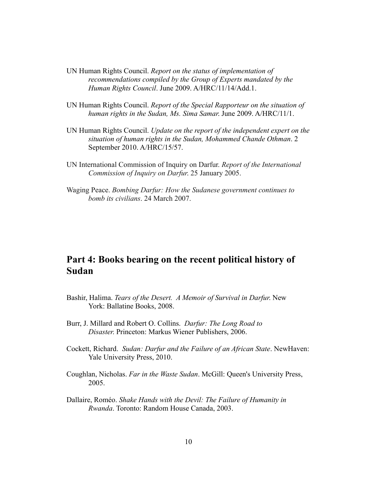- UN Human Rights Council. *Report on the status of implementation of recommendations compiled by the Group of Experts mandated by the Human Rights Council*. June 2009. A/HRC/11/14/Add.1.
- UN Human Rights Council. *Report of the Special Rapporteur on the situation of human rights in the Sudan, Ms. Sima Samar*. June 2009. A/HRC/11/1.
- UN Human Rights Council. *Update on the report of the independent expert on the situation of human rights in the Sudan, Mohammed Chande Othman*. 2 September 2010. A/HRC/15/57.
- UN International Commission of Inquiry on Darfur. *Report of the International Commission of Inquiry on Darfur*. 25 January 2005.
- Waging Peace. *Bombing Darfur: How the Sudanese government continues to bomb its civilians*. 24 March 2007.

## **Part 4: Books bearing on the recent political history of Sudan**

- Bashir, Halima. *Tears of the Desert. A Memoir of Survival in Darfur*. New York: Ballatine Books, 2008.
- Burr, J. Millard and Robert O. Collins. *Darfur: The Long Road to Disaster*. Princeton: Markus Wiener Publishers, 2006.
- Cockett, Richard. *Sudan: Darfur and the Failure of an African State*. NewHaven: Yale University Press, 2010.
- Coughlan, Nicholas. *Far in the Waste Sudan*. McGill: Queen's University Press, 2005.
- Dallaire, Roméo. *Shake Hands with the Devil: The Failure of Humanity in Rwanda*. Toronto: Random House Canada, 2003.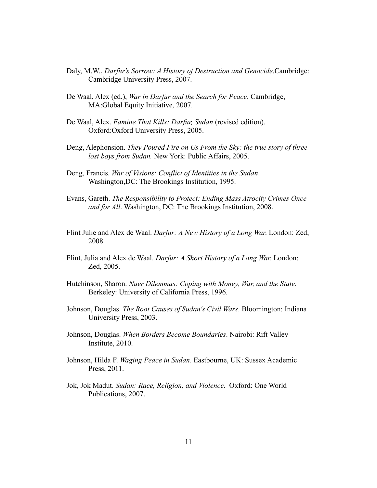- Daly, M.W., *Darfur's Sorrow: A History of Destruction and Genocide*.Cambridge: Cambridge University Press, 2007.
- De Waal, Alex (ed.), *War in Darfur and the Search for Peace*. Cambridge, MA:Global Equity Initiative, 2007.
- De Waal, Alex. *Famine That Kills: Darfur, Sudan* (revised edition). Oxford:Oxford University Press, 2005.
- Deng, Alephonsion. *They Poured Fire on Us From the Sky: the true story of three lost boys from Sudan.* New York: Public Affairs, 2005.
- Deng, Francis. *War of Visions: Conflict of Identities in the Sudan*. Washington,DC: The Brookings Institution, 1995.
- Evans, Gareth. *The Responsibility to Protect: Ending Mass Atrocity Crimes Once and for All*. Washington, DC: The Brookings Institution, 2008.
- Flint Julie and Alex de Waal. *Darfur: A New History of a Long War*. London: Zed, 2008.
- Flint, Julia and Alex de Waal. *Darfur: A Short History of a Long War*. London: Zed, 2005.
- Hutchinson, Sharon. *Nuer Dilemmas: Coping with Money, War, and the State*. Berkeley: University of California Press, 1996.
- Johnson, Douglas. *The Root Causes of Sudan's Civil Wars*. Bloomington: Indiana University Press, 2003.
- Johnson, Douglas. *When Borders Become Boundaries*. Nairobi: Rift Valley Institute, 2010.
- Johnson, Hilda F. *Waging Peace in Sudan*. Eastbourne, UK: Sussex Academic Press, 2011.
- Jok, Jok Madut. *Sudan: Race, Religion, and Violence*. Oxford: One World Publications, 2007.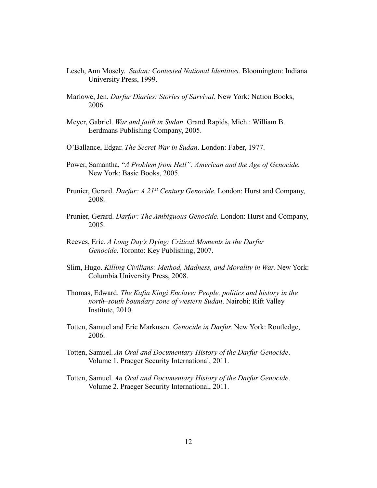- Lesch, Ann Mosely. *Sudan: Contested National Identities.* Bloomington: Indiana University Press, 1999.
- Marlowe, Jen. *Darfur Diaries: Stories of Survival*. New York: Nation Books, 2006.
- Meyer, Gabriel. *War and faith in Sudan*. Grand Rapids, Mich.: William B. Eerdmans Publishing Company, 2005.
- O'Ballance, Edgar. *The Secret War in Sudan*. London: Faber, 1977.
- Power, Samantha, "*A Problem from Hell": American and the Age of Genocide.*  New York: Basic Books, 2005.
- Prunier, Gerard. *Darfur: A 21st Century Genocide*. London: Hurst and Company, 2008.
- Prunier, Gerard. *Darfur: The Ambiguous Genocide*. London: Hurst and Company, 2005.
- Reeves, Eric. *A Long Day's Dying: Critical Moments in the Darfur Genocide*. Toronto: Key Publishing, 2007.
- Slim, Hugo. *Killing Civilians: Method, Madness, and Morality in War*. New York: Columbia University Press, 2008.
- Thomas, Edward. *The Kafia Kingi Enclave: People, politics and history in the north–south boundary zone of western Sudan*. Nairobi: Rift Valley Institute, 2010.
- Totten, Samuel and Eric Markusen. *Genocide in Darfur*. New York: Routledge, 2006.
- Totten, Samuel. *An Oral and Documentary History of the Darfur Genocide*. Volume 1. Praeger Security International, 2011.
- Totten, Samuel. *An Oral and Documentary History of the Darfur Genocide*. Volume 2. Praeger Security International, 2011.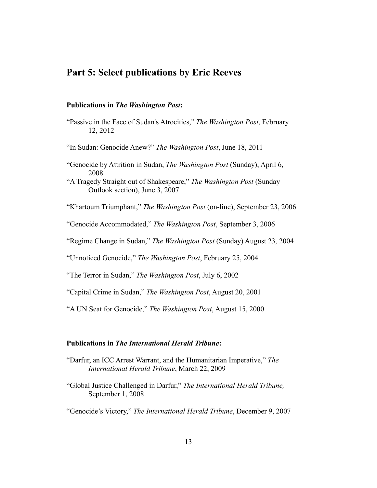## **Part 5: Select publications by Eric Reeves**

## **Publications in** *The Washington Post***:**

- "Passive in the Face of Sudan's Atrocities," *The Washington Post*, February 12, 2012
- "In Sudan: Genocide Anew?" *The Washington Post*, June 18, 2011
- "Genocide by Attrition in Sudan, *The Washington Post* (Sunday), April 6, 2008
- "A Tragedy Straight out of Shakespeare," *The Washington Post* (Sunday Outlook section), June 3, 2007

"Khartoum Triumphant," *The Washington Post* (on-line), September 23, 2006

"Genocide Accommodated," *The Washington Post*, September 3, 2006

"Regime Change in Sudan," *The Washington Post* (Sunday) August 23, 2004

"Unnoticed Genocide," *The Washington Post*, February 25, 2004

"The Terror in Sudan," *The Washington Post*, July 6, 2002

"Capital Crime in Sudan," *The Washington Post*, August 20, 2001

"A UN Seat for Genocide," *The Washington Post*, August 15, 2000

## **Publications in** *The International Herald Tribune***:**

- "Darfur, an ICC Arrest Warrant, and the Humanitarian Imperative," *The International Herald Tribune*, March 22, 2009
- "Global Justice Challenged in Darfur," *The International Herald Tribune,* September 1, 2008

"Genocide's Victory," *The International Herald Tribune*, December 9, 2007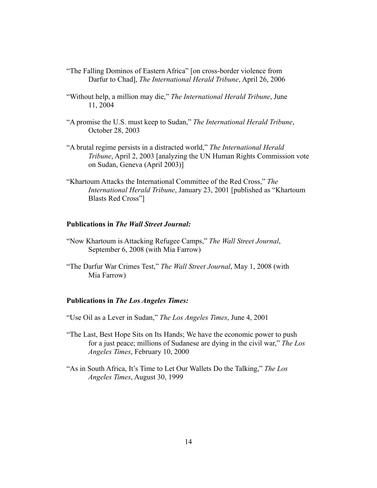- "The Falling Dominos of Eastern Africa" [on cross-border violence from Darfur to Chad], *The International Herald Tribune*, April 26, 2006
- "Without help, a million may die," *The International Herald Tribune*, June 11, 2004
- "A promise the U.S. must keep to Sudan," *The International Herald Tribune*, October 28, 2003
- "A brutal regime persists in a distracted world," *The International Herald Tribune*, April 2, 2003 [analyzing the UN Human Rights Commission vote on Sudan, Geneva (April 2003)]
- "Khartoum Attacks the International Committee of the Red Cross," *The International Herald Tribune*, January 23, 2001 [published as "Khartoum Blasts Red Cross"]

### **Publications in** *The Wall Street Journal:*

- "Now Khartoum is Attacking Refugee Camps," *The Wall Street Journal*, September 6, 2008 (with Mia Farrow)
- "The Darfur War Crimes Test," *The Wall Street Journal*, May 1, 2008 (with Mia Farrow)

#### **Publications in** *The Los Angeles Times:*

- "Use Oil as a Lever in Sudan," *The Los Angeles Times*, June 4, 2001
- "The Last, Best Hope Sits on Its Hands; We have the economic power to push for a just peace; millions of Sudanese are dying in the civil war," *The Los Angeles Times*, February 10, 2000
- "As in South Africa, It's Time to Let Our Wallets Do the Talking," *The Los Angeles Times*, August 30, 1999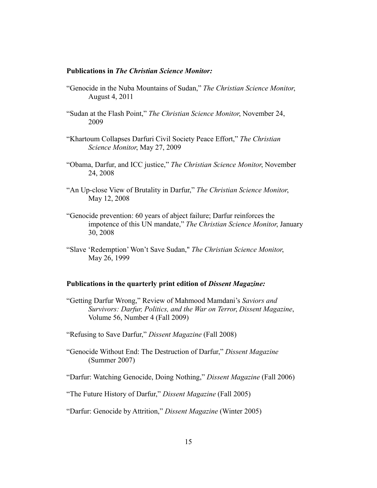#### **Publications in** *The Christian Science Monitor:*

- "Genocide in the Nuba Mountains of Sudan," *The Christian Science Monitor*, August 4, 2011
- "Sudan at the Flash Point," *The Christian Science Monitor*, November 24, 2009
- "Khartoum Collapses Darfuri Civil Society Peace Effort," *The Christian Science Monitor*, May 27, 2009
- "Obama, Darfur, and ICC justice," *The Christian Science Monitor*, November 24, 2008
- "An Up-close View of Brutality in Darfur," *The Christian Science Monitor*, May 12, 2008
- "Genocide prevention: 60 years of abject failure; Darfur reinforces the impotence of this UN mandate," *The Christian Science Monitor*, January 30, 2008
- "Slave 'Redemption' Won't Save Sudan," *The Christian Science Monitor*, May 26, 1999

#### **Publications in the quarterly print edition of** *Dissent Magazine:*

- "Getting Darfur Wrong," Review of Mahmood Mamdani's *Saviors and Survivors: Darfur, Politics, and the War on Terror*, *Dissent Magazine*, Volume 56, Number 4 (Fall 2009)
- "Refusing to Save Darfur," *Dissent Magazine* (Fall 2008)
- "Genocide Without End: The Destruction of Darfur," *Dissent Magazine* (Summer 2007)

"Darfur: Watching Genocide, Doing Nothing," *Dissent Magazine* (Fall 2006)

"The Future History of Darfur," *Dissent Magazine* (Fall 2005)

"Darfur: Genocide by Attrition," *Dissent Magazine* (Winter 2005)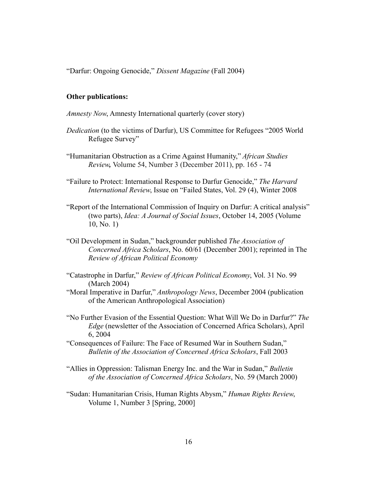"Darfur: Ongoing Genocide," *Dissent Magazine* (Fall 2004)

#### **Other publications:**

*Amnesty Now*, Amnesty International quarterly (cover story)

- *Dedication* (to the victims of Darfur), US Committee for Refugees "2005 World Refugee Survey"
- "Humanitarian Obstruction as a Crime Against Humanity," *African Studies Review,* Volume 54, Number 3 (December 2011), pp. 165 - 74
- "Failure to Protect: International Response to Darfur Genocide," *The Harvard International Review*, Issue on "Failed States, Vol. 29 (4), Winter 2008
- "Report of the International Commission of Inquiry on Darfur: A critical analysis" (two parts), *Idea: A Journal of Social Issues*, October 14, 2005 (Volume 10, No. 1)
- "Oil Development in Sudan," backgrounder published *The Association of Concerned Africa Scholars*, No. 60/61 (December 2001); reprinted in The *Review of African Political Economy*
- "Catastrophe in Darfur," *Review of African Political Economy*, Vol. 31 No. 99 (March 2004)
- "Moral Imperative in Darfur," *Anthropology News*, December 2004 (publication of the American Anthropological Association)
- "No Further Evasion of the Essential Question: What Will We Do in Darfur?" *The Edge* (newsletter of the Association of Concerned Africa Scholars), April 6, 2004
- "Consequences of Failure: The Face of Resumed War in Southern Sudan," *Bulletin of the Association of Concerned Africa Scholars*, Fall 2003
- "Allies in Oppression: Talisman Energy Inc. and the War in Sudan," *Bulletin of the Association of Concerned Africa Scholars*, No. 59 (March 2000)
- "Sudan: Humanitarian Crisis, Human Rights Abysm," *Human Rights Review*, Volume 1, Number 3 [Spring, 2000]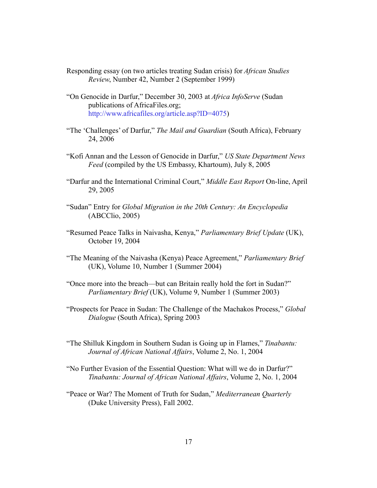- Responding essay (on two articles treating Sudan crisis) for *African Studies Review*, Number 42, Number 2 (September 1999)
- "On Genocide in Darfur," December 30, 2003 at *Africa InfoServe* (Sudan publications of AfricaFiles.org; [http://www.africafiles.org/article.asp?](http://www.africafiles.org/article.asp)ID=4075)
- "The 'Challenges' of Darfur," *The Mail and Guardian* (South Africa), February 24, 2006
- "Kofi Annan and the Lesson of Genocide in Darfur," *US State Department News Feed* (compiled by the US Embassy, Khartoum), July 8, 2005
- "Darfur and the International Criminal Court," *Middle East Report* On-line, April 29, 2005
- "Sudan" Entry for *Global Migration in the 20th Century: An Encyclopedia*  (ABCClio, 2005)
- "Resumed Peace Talks in Naivasha, Kenya," *Parliamentary Brief Update* (UK), October 19, 2004
- "The Meaning of the Naivasha (Kenya) Peace Agreement," *Parliamentary Brief* (UK), Volume 10, Number 1 (Summer 2004)
- "Once more into the breach—but can Britain really hold the fort in Sudan?" *Parliamentary Brief* (UK), Volume 9, Number 1 (Summer 2003)
- "Prospects for Peace in Sudan: The Challenge of the Machakos Process," *Global Dialogue* (South Africa), Spring 2003
- "The Shilluk Kingdom in Southern Sudan is Going up in Flames," *Tinabantu: Journal of African National Affairs*, Volume 2, No. 1, 2004
- "No Further Evasion of the Essential Question: What will we do in Darfur?" *Tinabantu: Journal of African National Affairs*, Volume 2, No. 1, 2004
- "Peace or War? The Moment of Truth for Sudan," *Mediterranean Quarterly*  (Duke University Press), Fall 2002.